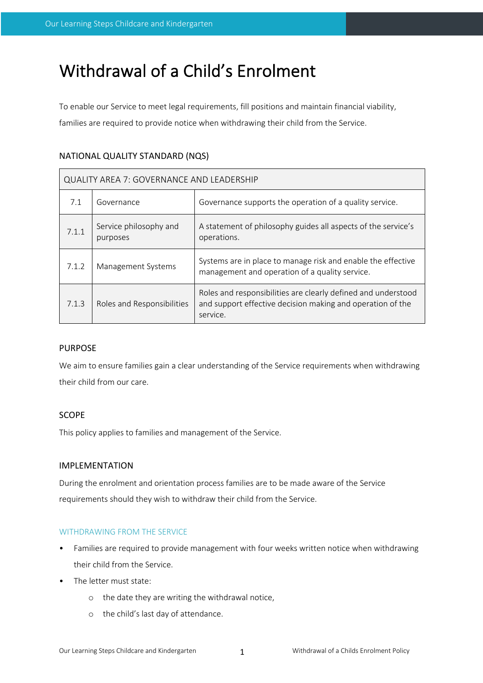# Withdrawal of a Child's Enrolment

To enable our Service to meet legal requirements, fill positions and maintain financial viability, families are required to provide notice when withdrawing their child from the Service.

# NATIONAL QUALITY STANDARD (NQS)

| <b>QUALITY AREA 7: GOVERNANCE AND LEADERSHIP</b> |                                    |                                                                                                                                         |  |  |
|--------------------------------------------------|------------------------------------|-----------------------------------------------------------------------------------------------------------------------------------------|--|--|
| 7.1                                              | Governance                         | Governance supports the operation of a quality service.                                                                                 |  |  |
| 7.1.1                                            | Service philosophy and<br>purposes | A statement of philosophy guides all aspects of the service's<br>operations.                                                            |  |  |
| 7.1.2                                            | Management Systems                 | Systems are in place to manage risk and enable the effective<br>management and operation of a quality service.                          |  |  |
| 7.1.3                                            | Roles and Responsibilities         | Roles and responsibilities are clearly defined and understood<br>and support effective decision making and operation of the<br>service. |  |  |

# PURPOSE

We aim to ensure families gain a clear understanding of the Service requirements when withdrawing their child from our care.

# **SCOPE**

This policy applies to families and management of the Service.

## IMPLEMENTATION

During the enrolment and orientation process families are to be made aware of the Service requirements should they wish to withdraw their child from the Service.

## WITHDRAWING FROM THE SERVICE

- Families are required to provide management with four weeks written notice when withdrawing their child from the Service.
- The letter must state:
	- o the date they are writing the withdrawal notice,
	- o the child's last day of attendance.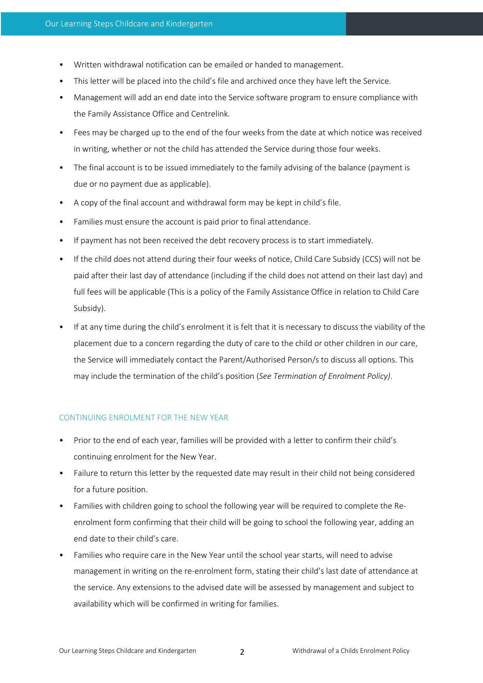- Written withdrawal notification can be emailed or handed to management.
- This letter will be placed into the child's file and archived once they have left the Service.
- Management will add an end date into the Service software program to ensure compliance with the Family Assistance Office and Centrelink.
- Fees may be charged up to the end of the four weeks from the date at which notice was received in writing, whether or not the child has attended the Service during those four weeks.
- The final account is to be issued immediately to the family advising of the balance (payment is due or no payment due as applicable).
- A copy of the final account and withdrawal form may be kept in child's file.
- Families must ensure the account is paid prior to final attendance.
- If payment has not been received the debt recovery process is to start immediately.
- If the child does not attend during their four weeks of notice, Child Care Subsidy (CCS) will not be paid after their last day of attendance (including if the child does not attend on their last day) and full fees will be applicable (This is a policy of the Family Assistance Office in relation to Child Care Subsidy).
- If at any time during the child's enrolment it is felt that it is necessary to discuss the viability of the placement due to a concern regarding the duty of care to the child or other children in our care, the Service will immediately contact the Parent/Authorised Person/s to discuss all options. This may include the termination of the child's position (*See Termination of Enrolment Policy)*.

## CONTINUING ENROLMENT FOR THE NEW YEAR

- Prior to the end of each year, families will be provided with a letter to confirm their child's continuing enrolment for the New Year.
- Failure to return this letter by the requested date may result in their child not being considered for a future position.
- Families with children going to school the following year will be required to complete the Reenrolment form confirming that their child will be going to school the following year, adding an end date to their child's care.
- Families who require care in the New Year until the school year starts, will need to advise management in writing on the re-enrolment form, stating their child's last date of attendance at the service. Any extensions to the advised date will be assessed by management and subject to availability which will be confirmed in writing for families.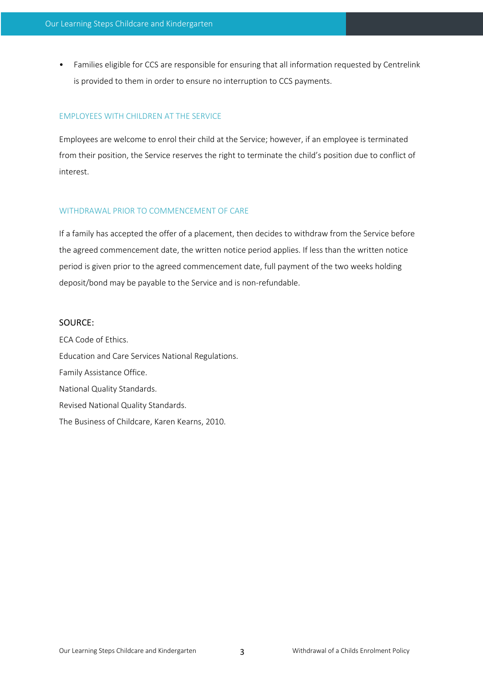• Families eligible for CCS are responsible for ensuring that all information requested by Centrelink is provided to them in order to ensure no interruption to CCS payments.

### EMPLOYEES WITH CHILDREN AT THE SERVICE

Employees are welcome to enrol their child at the Service; however, if an employee is terminated from their position, the Service reserves the right to terminate the child's position due to conflict of interest.

#### WITHDRAWAL PRIOR TO COMMENCEMENT OF CARE

If a family has accepted the offer of a placement, then decides to withdraw from the Service before the agreed commencement date, the written notice period applies. If less than the written notice period is given prior to the agreed commencement date, full payment of the two weeks holding deposit/bond may be payable to the Service and is non-refundable.

#### SOURCE:

ECA Code of Ethics. Education and Care Services National Regulations. Family Assistance Office. National Quality Standards. Revised National Quality Standards. The Business of Childcare, Karen Kearns, 2010.